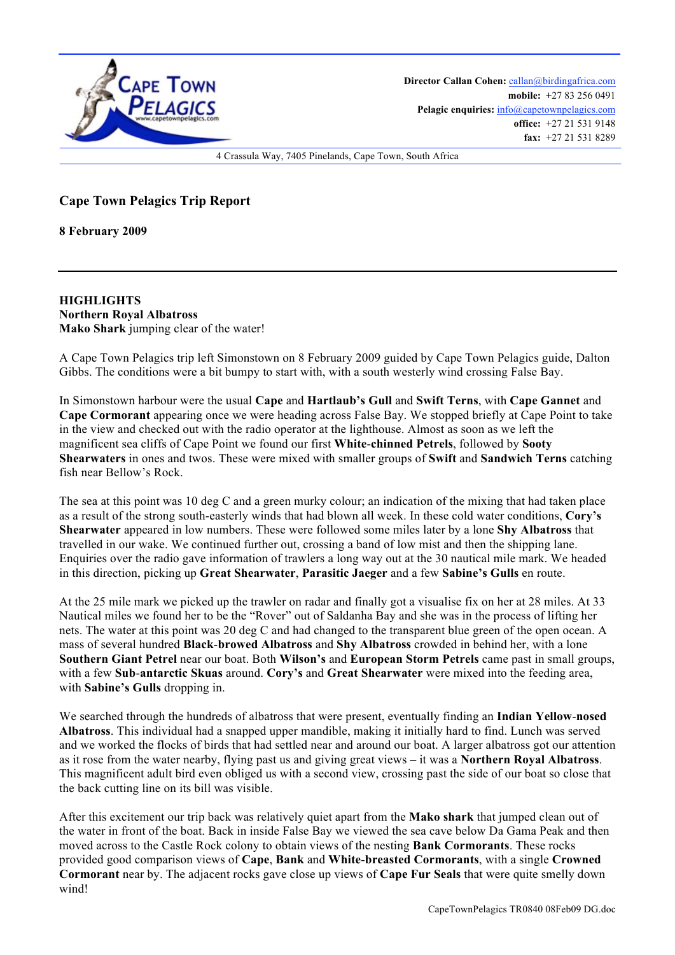

**Director Callan Cohen:** callan@birdingafrica.com **mobile: +**27 83 256 0491 Pelagic enquiries:  $info@capetownpelagics.com$ **office:** +27 21 531 9148 **fax:** +27 21 531 8289

4 Crassula Way, 7405 Pinelands, Cape Town, South Africa

**Cape Town Pelagics Trip Report** 

**8 February 2009**

**HIGHLIGHTS Northern Royal Albatross Mako Shark** jumping clear of the water!

A Cape Town Pelagics trip left Simonstown on 8 February 2009 guided by Cape Town Pelagics guide, Dalton Gibbs. The conditions were a bit bumpy to start with, with a south westerly wind crossing False Bay.

In Simonstown harbour were the usual **Cape** and **Hartlaub's Gull** and **Swift Terns**, with **Cape Gannet** and **Cape Cormorant** appearing once we were heading across False Bay. We stopped briefly at Cape Point to take in the view and checked out with the radio operator at the lighthouse. Almost as soon as we left the magnificent sea cliffs of Cape Point we found our first **White**-**chinned Petrels**, followed by **Sooty Shearwaters** in ones and twos. These were mixed with smaller groups of **Swift** and **Sandwich Terns** catching fish near Bellow's Rock.

The sea at this point was 10 deg C and a green murky colour; an indication of the mixing that had taken place as a result of the strong south-easterly winds that had blown all week. In these cold water conditions, **Cory's Shearwater** appeared in low numbers. These were followed some miles later by a lone **Shy Albatross** that travelled in our wake. We continued further out, crossing a band of low mist and then the shipping lane. Enquiries over the radio gave information of trawlers a long way out at the 30 nautical mile mark. We headed in this direction, picking up **Great Shearwater**, **Parasitic Jaeger** and a few **Sabine's Gulls** en route.

At the 25 mile mark we picked up the trawler on radar and finally got a visualise fix on her at 28 miles. At 33 Nautical miles we found her to be the "Rover" out of Saldanha Bay and she was in the process of lifting her nets. The water at this point was 20 deg C and had changed to the transparent blue green of the open ocean. A mass of several hundred **Black**-**browed Albatross** and **Shy Albatross** crowded in behind her, with a lone **Southern Giant Petrel** near our boat. Both **Wilson's** and **European Storm Petrels** came past in small groups, with a few **Sub**-**antarctic Skuas** around. **Cory's** and **Great Shearwater** were mixed into the feeding area, with **Sabine's Gulls** dropping in.

We searched through the hundreds of albatross that were present, eventually finding an **Indian Yellow**-**nosed Albatross**. This individual had a snapped upper mandible, making it initially hard to find. Lunch was served and we worked the flocks of birds that had settled near and around our boat. A larger albatross got our attention as it rose from the water nearby, flying past us and giving great views – it was a **Northern Royal Albatross**. This magnificent adult bird even obliged us with a second view, crossing past the side of our boat so close that the back cutting line on its bill was visible.

After this excitement our trip back was relatively quiet apart from the **Mako shark** that jumped clean out of the water in front of the boat. Back in inside False Bay we viewed the sea cave below Da Gama Peak and then moved across to the Castle Rock colony to obtain views of the nesting **Bank Cormorants**. These rocks provided good comparison views of **Cape**, **Bank** and **White**-**breasted Cormorants**, with a single **Crowned Cormorant** near by. The adjacent rocks gave close up views of **Cape Fur Seals** that were quite smelly down wind!